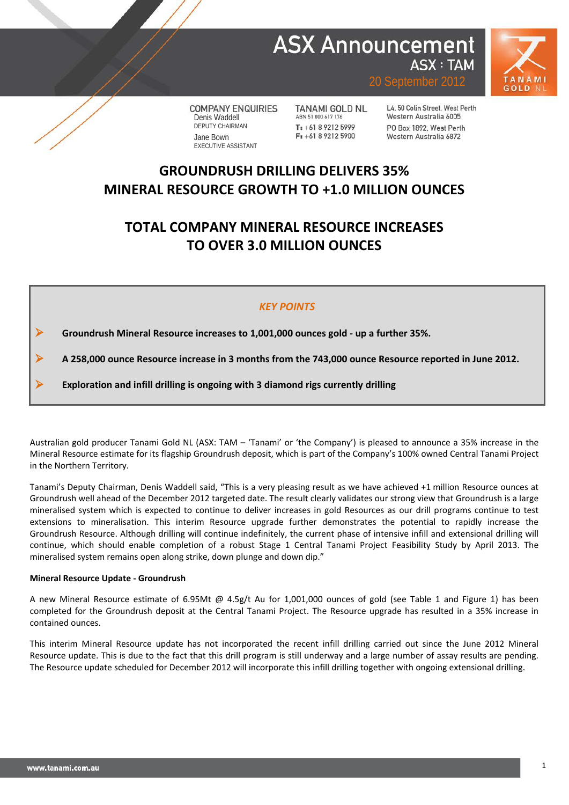## **ASX Announcement ASX: TAM**



20 September 2012

**COMPANY ENQUIRIES** Denis Waddell DEPUTY CHAIRMAN Jane Bown EXECUTIVE ASSISTANT

**TANAMI GOLD NL** ABN 51 000 617 176 T: +61 8 9212 5999  $F: +61892125900$ 

L4, 50 Colin Street, West Perth Western Australia 6005 PO Box 1892 West Perth Western Australia 6872

## **GROUNDRUSH DRILLING DELIVERS 35% MINERAL RESOURCE GROWTH TO +1.0 MILLION OUNCES**

## **TOTAL COMPANY MINERAL RESOURCE INCREASES TO OVER 3.0 MILLION OUNCES**

## *KEY POINTS*

**Groundrush Mineral Resource increases to 1,001,000 ounces gold - up a further 35%.**

**A 258,000 ounce Resource increase in 3 months from the 743,000 ounce Resource reported in June 2012.**

**Exploration and infill drilling is ongoing with 3 diamond rigs currently drilling**

Australian gold producer Tanami Gold NL (ASX: TAM – 'Tanami' or 'the Company') is pleased to announce a 35% increase in the Mineral Resource estimate for its flagship Groundrush deposit, which is part of the Company's 100% owned Central Tanami Project in the Northern Territory.

Tanami's Deputy Chairman, Denis Waddell said, "This is a very pleasing result as we have achieved +1 million Resource ounces at Groundrush well ahead of the December 2012 targeted date. The result clearly validates our strong view that Groundrush is a large mineralised system which is expected to continue to deliver increases in gold Resources as our drill programs continue to test extensions to mineralisation. This interim Resource upgrade further demonstrates the potential to rapidly increase the Groundrush Resource. Although drilling will continue indefinitely, the current phase of intensive infill and extensional drilling will continue, which should enable completion of a robust Stage 1 Central Tanami Project Feasibility Study by April 2013. The mineralised system remains open along strike, down plunge and down dip."

### **Mineral Resource Update - Groundrush**

A new Mineral Resource estimate of 6.95Mt @ 4.5g/t Au for 1,001,000 ounces of gold (see Table 1 and Figure 1) has been completed for the Groundrush deposit at the Central Tanami Project. The Resource upgrade has resulted in a 35% increase in contained ounces.

This interim Mineral Resource update has not incorporated the recent infill drilling carried out since the June 2012 Mineral Resource update. This is due to the fact that this drill program is still underway and a large number of assay results are pending. The Resource update scheduled for December 2012 will incorporate this infill drilling together with ongoing extensional drilling.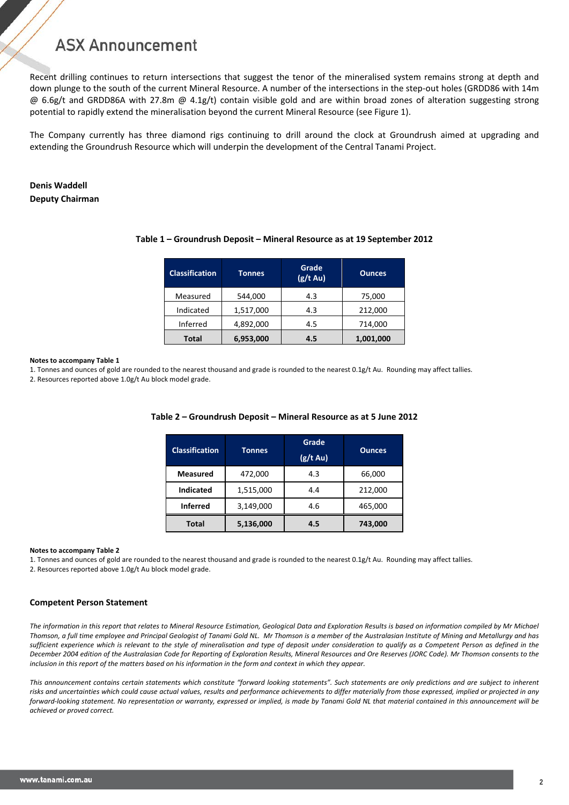Recent drilling continues to return intersections that suggest the tenor of the mineralised system remains strong at depth and down plunge to the south of the current Mineral Resource. A number of the intersections in the step-out holes (GRDD86 with 14m  $@$  6.6g/t and GRDD86A with 27.8m  $@$  4.1g/t) contain visible gold and are within broad zones of alteration suggesting strong potential to rapidly extend the mineralisation beyond the current Mineral Resource (see Figure 1).

The Company currently has three diamond rigs continuing to drill around the clock at Groundrush aimed at upgrading and extending the Groundrush Resource which will underpin the development of the Central Tanami Project.

## **Denis Waddell Deputy Chairman**

| <b>Classification</b> | <b>Tonnes</b> | Grade<br>$(g/t \, Au)$ | Ounces.   |  |  |
|-----------------------|---------------|------------------------|-----------|--|--|
| Measured              | 544,000       | 4.3                    | 75,000    |  |  |
| Indicated             | 1,517,000     | 4.3                    | 212,000   |  |  |
| Inferred              | 4,892,000     | 4.5                    | 714,000   |  |  |
| <b>Total</b>          | 6,953,000     | 4.5                    | 1,001,000 |  |  |

### **Table 1 – Groundrush Deposit – Mineral Resource as at 19 September 2012**

#### **Notes to accompany Table 1**

1. Tonnes and ounces of gold are rounded to the nearest thousand and grade is rounded to the nearest 0.1g/t Au. Rounding may affect tallies.

2. Resources reported above 1.0g/t Au block model grade.

| <b>Classification</b> | Tonnes    | Grade<br>$(g/t \, Au)$ |         |  |  |
|-----------------------|-----------|------------------------|---------|--|--|
| <b>Measured</b>       | 472,000   | 4.3                    | 66,000  |  |  |
| <b>Indicated</b>      | 1,515,000 | 4.4                    | 212,000 |  |  |
| <b>Inferred</b>       | 3,149,000 | 4.6                    | 465,000 |  |  |
| <b>Total</b>          | 5,136,000 | 4.5                    | 743,000 |  |  |

### **Table 2 – Groundrush Deposit – Mineral Resource as at 5 June 2012**

#### **Notes to accompany Table 2**

1. Tonnes and ounces of gold are rounded to the nearest thousand and grade is rounded to the nearest 0.1g/t Au. Rounding may affect tallies. 2. Resources reported above 1.0g/t Au block model grade.

### **Competent Person Statement**

*The information in this report that relates to Mineral Resource Estimation, Geological Data and Exploration Results is based on information compiled by Mr Michael Thomson, a full time employee and Principal Geologist of Tanami Gold NL. Mr Thomson is a member of the Australasian Institute of Mining and Metallurgy and has sufficient experience which is relevant to the style of mineralisation and type of deposit under consideration to qualify as a Competent Person as defined in the December 2004 edition of the Australasian Code for Reporting of Exploration Results, Mineral Resources and Ore Reserves (JORC Code). Mr Thomson consents to the inclusion in this report of the matters based on his information in the form and context in which they appear.*

*This announcement contains certain statements which constitute "forward looking statements". Such statements are only predictions and are subject to inherent*  risks and uncertainties which could cause actual values, results and performance achievements to differ materially from those expressed, implied or projected in any *forward-looking statement. No representation or warranty, expressed or implied, is made by Tanami Gold NL that material contained in this announcement will be achieved or proved correct.*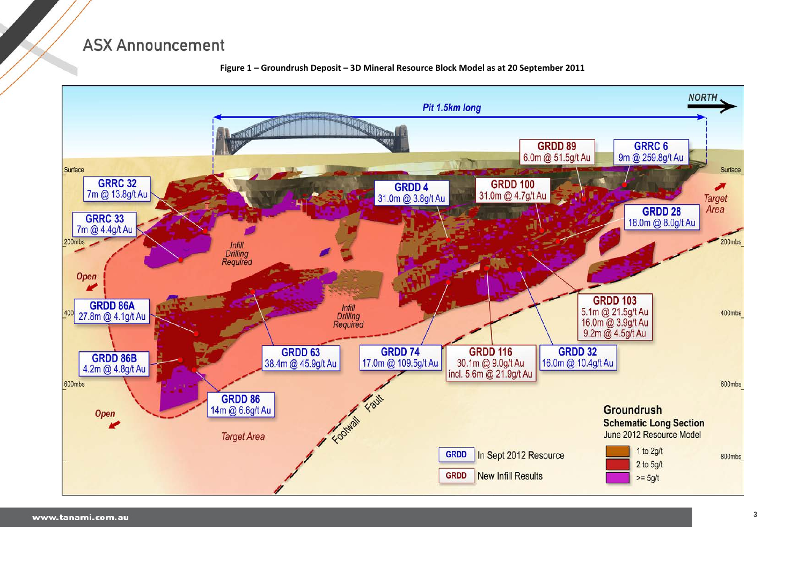

**Figure 1 – Groundrush Deposit – 3D Mineral Resource Block Model as at 20 September 2011**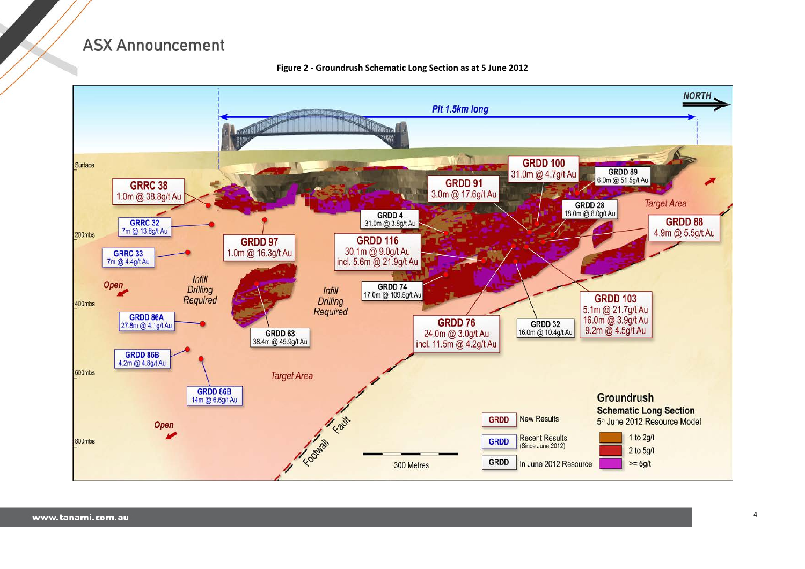

#### **Figure 2 - Groundrush Schematic Long Section as at 5 June 2012**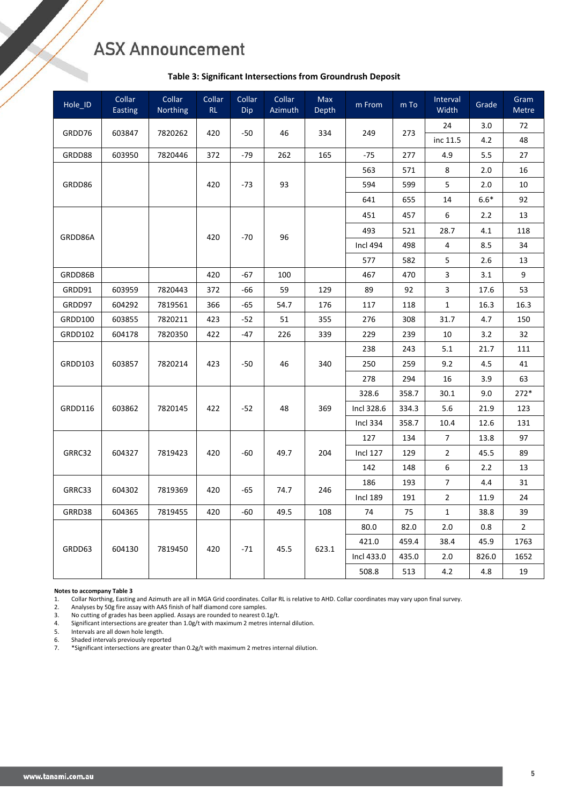### **Table 3: Significant Intersections from Groundrush Deposit**

| Hole_ID        | Collar<br><b>Easting</b> | Collar<br>Northing | Collar<br>RL | Collar<br>Dip | <b>Collar</b><br>Azimuth | <b>Max</b><br>Depth | m From          | m To  | Interval<br>Width | Grade  | Gram<br><b>Metre</b> |
|----------------|--------------------------|--------------------|--------------|---------------|--------------------------|---------------------|-----------------|-------|-------------------|--------|----------------------|
| GRDD76         | 603847                   | 7820262            | 420          | $-50$         | 46                       | 334                 | 249             | 273   | 24                | 3.0    | 72                   |
|                |                          |                    |              |               |                          |                     |                 |       | inc 11.5          | 4.2    | 48                   |
| GRDD88         | 603950                   | 7820446            | 372          | $-79$         | 262                      | 165                 | $-75$           | 277   | 4.9               | 5.5    | 27                   |
|                |                          |                    |              |               |                          |                     | 563             | 571   | 8                 | 2.0    | 16                   |
| GRDD86         |                          |                    | 420          | $-73$         | 93                       |                     | 594             | 599   | 5                 | 2.0    | 10                   |
|                |                          |                    |              |               |                          |                     | 641             | 655   | 14                | $6.6*$ | 92                   |
|                |                          |                    |              |               |                          |                     | 451             | 457   | 6                 | 2.2    | 13                   |
| GRDD86A        |                          |                    | 420          | $-70$         | 96                       |                     | 493             | 521   | 28.7              | 4.1    | 118                  |
|                |                          |                    |              |               |                          |                     | <b>Incl 494</b> | 498   | 4                 | 8.5    | 34                   |
|                |                          |                    |              |               |                          |                     | 577             | 582   | 5                 | 2.6    | 13                   |
| GRDD86B        |                          |                    | 420          | $-67$         | 100                      |                     | 467             | 470   | 3                 | 3.1    | 9                    |
| GRDD91         | 603959                   | 7820443            | 372          | -66           | 59                       | 129                 | 89              | 92    | 3                 | 17.6   | 53                   |
| GRDD97         | 604292                   | 7819561            | 366          | $-65$         | 54.7                     | 176                 | 117             | 118   | $\mathbf{1}$      | 16.3   | 16.3                 |
| GRDD100        | 603855                   | 7820211            | 423          | $-52$         | 51                       | 355                 | 276             | 308   | 31.7              | 4.7    | 150                  |
| <b>GRDD102</b> | 604178                   | 7820350            | 422          | $-47$         | 226                      | 339                 | 229             | 239   | 10                | 3.2    | 32                   |
|                | 603857                   | 7820214            | 423          | $-50$         | 46                       | 340                 | 238             | 243   | 5.1               | 21.7   | 111                  |
| GRDD103        |                          |                    |              |               |                          |                     | 250             | 259   | 9.2               | 4.5    | 41                   |
|                |                          |                    |              |               |                          |                     | 278             | 294   | 16                | 3.9    | 63                   |
|                |                          | 7820145            | 422          | $-52$         | 48                       | 369                 | 328.6           | 358.7 | 30.1              | 9.0    | 272*                 |
| GRDD116        | 603862                   |                    |              |               |                          |                     | Incl 328.6      | 334.3 | 5.6               | 21.9   | 123                  |
|                |                          |                    |              |               |                          |                     | <b>Incl 334</b> | 358.7 | 10.4              | 12.6   | 131                  |
|                |                          |                    |              |               |                          |                     | 127             | 134   | 7                 | 13.8   | 97                   |
| GRRC32         | 604327                   | 7819423            | 420          | -60           | 49.7                     | 204                 | <b>Incl 127</b> | 129   | $\overline{2}$    | 45.5   | 89                   |
|                |                          |                    |              |               |                          |                     | 142             | 148   | 6                 | 2.2    | 13                   |
| GRRC33         | 604302                   |                    |              | -65           | 74.7                     | 246                 | 186             | 193   | 7                 | 4.4    | 31                   |
|                |                          | 7819369            | 420          |               |                          |                     | <b>Incl 189</b> | 191   | $\overline{2}$    | 11.9   | 24                   |
| GRRD38         | 604365                   | 7819455            | 420          | $-60$         | 49.5                     | 108                 | 74              | 75    | $\mathbf{1}$      | 38.8   | 39                   |
|                |                          |                    |              |               |                          |                     | 80.0            | 82.0  | 2.0               | 0.8    | $\mathbf{2}$         |
| GRDD63         | 604130                   | 7819450            | 420          | $-71$         | 45.5                     | 623.1               | 421.0           | 459.4 | 38.4              | 45.9   | 1763                 |
|                |                          |                    |              |               |                          |                     | Incl 433.0      | 435.0 | 2.0               | 826.0  | 1652                 |
|                |                          |                    |              |               |                          |                     | 508.8           | 513   | 4.2               | 4.8    | 19                   |

**Notes to accompany Table 3**

1. Collar Northing, Easting and Azimuth are all in MGA Grid coordinates. Collar RL is relative to AHD. Collar coordinates may vary upon final survey.

2. Analyses by 50g fire assay with AAS finish of half diamond core samples.

3. No cutting of grades has been applied. Assays are rounded to nearest 0.1g/t.

4. Significant intersections are greater than 1.0g/t with maximum 2 metres internal dilution.

5. Intervals are all down hole length.

6. Shaded intervals previously reported

7. \*Significant intersections are greater than 0.2g/t with maximum 2 metres internal dilution.